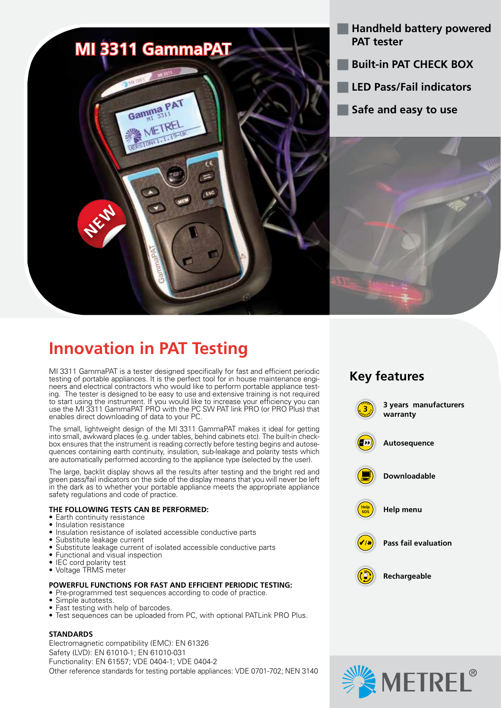

- **Handheld battery powered PAT tester**
- **Built-in PAT CHECK BOX**
- **LED Pass/Fail indicators**
- **Safe and easy to use**



# **Innovation in PAT Testing**

MI 3311 GammaPAT is a tester designed specifically for fast and efficient periodic testing of portable appliances. It is the perfect tool for in house maintenance engineers and electrical contractors who would like to perform portable appliance test-<br>ing. The tester is designed to be easy to use and extensive training is not required to start using the instrument. If you would like to increase your efficiency you can use the MI 3311 GammaPAT PRO with the PC SW PAT link PRO (or PRO Plus) that enables direct downloading of data to your PC.

The small, lightweight design of the MI 3311 GammaPAT makes it ideal for getting into small, awkward places (e.g. under tables, behind cabinets etc). The built-in checkbox ensures that the instrument is reading correctly before testing begins and autose quences containing earth continuity, insulation, sub-leakage and polarity tests which are automatically performed according to the appliance type (selected by the user).

The large, backlit display shows all the results after testing and the bright red and green pass/fail indicators on the side of the display means that you will never be left in the dark as to whether your portable appliance meets the appropriate appliance safety regulations and code of practice.

# **THE FOLLOWING TESTS CAN BE PERFORMED:**

- Earth continuity resistance
- Insulation resistance
- Insulation resistance of isolated accessible conductive parts
- Substitute leakage current<br>• Substitute leakage current
- Substitute leakage current of isolated accessible conductive parts
- Functional and visual inspection
- IEC cord polarity test
- • Voltage TRMS meter

# **POWERFUL FUNCTIONS FOR FAST AND EFFICIENT PERIODIC TESTING:**

- • Pre-programmed test sequences according to code of practice.
- • Simple autotests.
- Fast testing with help of barcodes.
- Test sequences can be uploaded from PC, with optional PATLink PRO Plus.

# **STANDARDS**

Electromagnetic compatibility (EMC): EN 61326 Safety (LVD): EN 61010-1; EN 61010-031 Functionality: EN 61557; VDE 0404-1; VDE 0404-2 Other reference standards for testing portable appliances: VDE 0701-702; NEN 3140





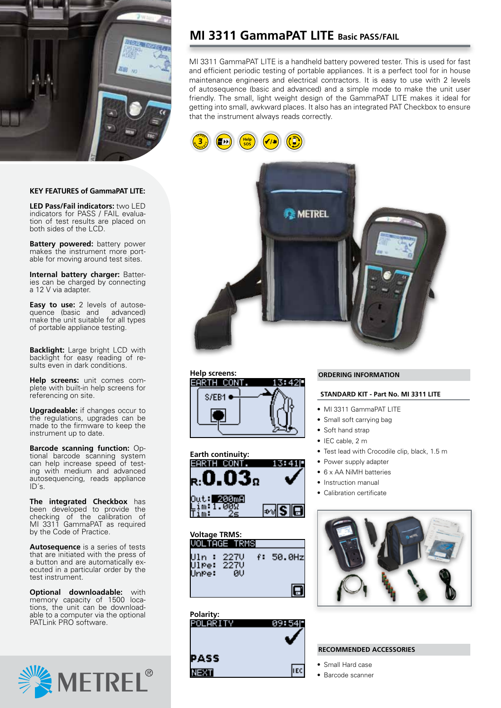

#### **KEY FEATURES of GammaPAT LITE:**

**LED Pass/Fail indicators:** two LED indicators for PASS / FAIL evaluation of test results are placed on both sides of the LCD.

**Battery powered:** battery power makes the instrument more portable for moving around test sites.

**Internal battery charger:** Batteries can be charged by connecting a 12 V via adapter.

**Easy to use:** 2 levels of autosequence (basic and advanced) make the unit suitable for all types of portable appliance testing.

**Backlight:** Large bright LCD with backlight for easy reading of results even in dark conditions.

**Help screens:** unit comes complete with built-in help screens for referencing on site.

**Upgradeable:** if changes occur to the regulations, upgrades can be made to the firmware to keep the instrument up to date.

**Barcode scanning function:** Optional barcode scanning system can help increase speed of testing with medium and advanced autosequencing, reads appliance ID´s.

**The integrated Checkbox** has been developed to provide the checking of the calibration of MI 3311 GammaPAT as required by the Code of Practice.

**Autosequence** is a series of tests that are initiated with the press of a button and are automatically executed in a particular order by the test instrument.

**Optional downloadable:** with memory capacity of 1500 locations, the unit can be downloadable to a computer via the optional PATLink PRO software.



# **MI 3311 GammaPAT LITE Basic PASS/FAIL**

MI 3311 GammaPAT LITE is a handheld battery powered tester. This is used for fast and efficient periodic testing of portable appliances. It is a perfect tool for in house maintenance engineers and electrical contractors. It is easy to use with 2 levels of autosequence (basic and advanced) and a simple mode to make the unit user friendly. The small, light weight design of the GammaPAT LITE makes it ideal for getting into small, awkward places. It also has an integrated PAT Checkbox to ensure that the instrument always reads correctly.









| <b>Voltage TRMS:</b>         | VOLTAGE TRMSI |                      |         |
|------------------------------|---------------|----------------------|---------|
| Uln : 227V<br>Ulpe:<br>UnPe: | -227U<br>ИU   | $\ddot{\phantom{1}}$ | 50.0Hzl |
|                              |               |                      |         |

# **Polarity:** 09:54I PASS li EC **NEXT**

### **ORDERING INFORMATION**

### **STANDARD KIT - Part No. MI 3311 LITE**

- MI 3311 GammaPAT LITE
- Small soft carrying bag
- Soft hand strap
- IEC cable, 2 m
- Test lead with Crocodile clip, black, 1.5 m
- Power supply adapter
- 6 x AA NiMH batteries
- • Instruction manual
- Calibration certificate



### **RECOMMENDED ACCESSORIES**

- • Small Hard case
- • Barcode scanner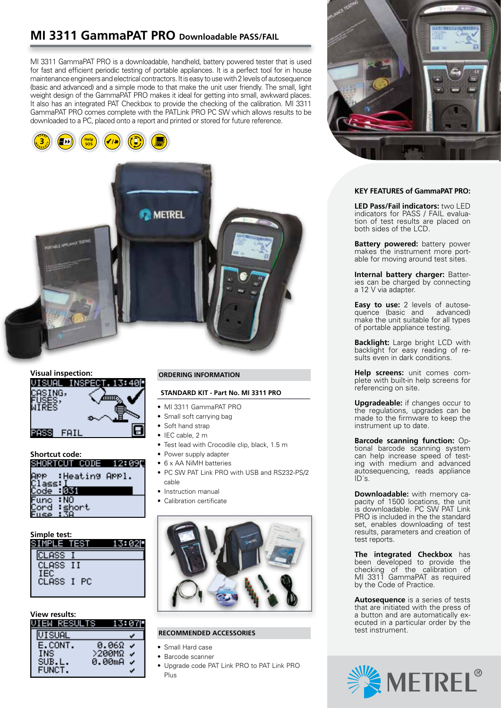# **MI 3311 GammaPAT PRO Downloadable PASS/FAIL**

MI 3311 GammaPAT PRO is a downloadable, handheld, battery powered tester that is used for fast and efficient periodic testing of portable appliances. It is a perfect tool for in house maintenance engineers and electrical contractors. It is easy to use with 2 levels of autosequence (basic and advanced) and a simple mode to that make the unit user friendly. The small, light weight design of the GammaPAT PRO makes it ideal for getting into small, awkward places. It also has an integrated PAT Checkbox to provide the checking of the calibration. MI 3311 GammaPAT PRO comes complete with the PATLink PRO PC SW which allows results to be downloaded to a PC, placed onto a report and printed or stored for future reference.





# **Visual inspection:**

| ISUAl  | 71314<br>TTINGPECI |
|--------|--------------------|
| ASING, |                    |
| ISES.  |                    |
| IRES   |                    |
|        |                    |
| FAIL   |                    |
|        |                    |

# **Shortcut code:**

| эниктии       | ш<br><b>LUUE</b> – | TI JA RAZIM |
|---------------|--------------------|-------------|
| Arr<br>Class: | :Heating APPl.     |             |
| Code          | никт               |             |
| Func          | : NO               |             |
| lcörð         | : short            |             |
| Fuse          | : 38               |             |

a series and the

#### **Simple test:**

| <u>SIMPLE TEST</u>       |  |
|--------------------------|--|
| CLASS                    |  |
| CLASS II                 |  |
| <b>IEC</b><br>CLASS I PC |  |
|                          |  |

### **View results:**

| WIEN BREAD | wath<br>46              |
|------------|-------------------------|
| VISUAL     |                         |
| E.CONT.    | 0.069                   |
| INS.       | Ļ,<br>$>$ 200M $\Omega$ |
| SUB.L.     | 0.00mA<br>a.            |
| FUNCT.     |                         |

# **ORDERING INFORMATION**

### **STANDARD KIT - Part No. MI 3311 PRO**

- MI 3311 GammaPAT PRO
- Small soft carrying bag
- Soft hand strap
- IEC cable, 2 m
- • Test lead with Crocodile clip, black, 1.5 m
- Power supply adapter
- 6 x AA NiMH batteries
- PC SW PAT Link PRO with USB and RS232-PS/2 cable
- Instruction manual
- Calibration certificate



## **RECOMMENDED ACCESSORIES**

- Small Hard case
- Barcode scanner
- • Upgrade code PAT Link PRO to PAT Link PRO Plus



#### **KEY FEATURES of GammaPAT PRO:**

**LED Pass/Fail indicators:** two LED indicators for PASS / FAIL evaluation of test results are placed on both sides of the LCD.

**Battery powered:** battery power makes the instrument more portable for moving around test sites.

**Internal battery charger:** Batteries can be charged by connecting a 12 V via adapter.

**Easy to use:** 2 levels of autosequence (basic and advanced) make the unit suitable for all types of portable appliance testing.

**Backlight:** Large bright LCD with backlight for easy reading of results even in dark conditions.

**Help screens:** unit comes complete with built-in help screens for referencing on site.

**Upgradeable:** if changes occur to the regulations, upgrades can be made to the firmware to keep the instrument up to date.

**Barcode scanning function:** Optional barcode scanning system can help increase speed of testing with medium and advanced autosequencing, reads appliance ID´s.

**Downloadable:** with memory capacity of 1500 locations, the unit is downloadable. PC SW PAT Link PRO is included in the the standard set, enables downloading of test results, parameters and creation of test reports.

**The integrated Checkbox** has been developed to provide the checking of the calibration of MI 3311 GammaPAT as required by the Code of Practice.

**Autosequence** is a series of tests that are initiated with the press of a button and are automatically executed in a particular order by the test instrument.